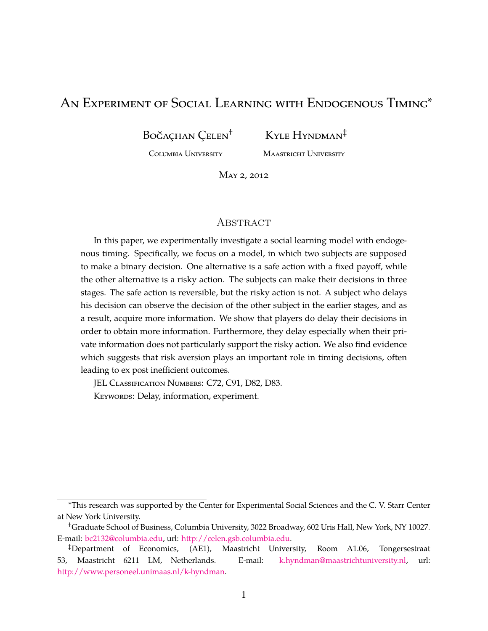# An Experiment of Social Learning with Endogenous Timing<sup>∗</sup>

Boğaçhan Çelen<sup>†</sup>

KYLE HYNDMAN<sup>‡</sup>

Columbia University

Maastricht University

May 2, 2012

### **ABSTRACT**

In this paper, we experimentally investigate a social learning model with endogenous timing. Specifically, we focus on a model, in which two subjects are supposed to make a binary decision. One alternative is a safe action with a fixed payoff, while the other alternative is a risky action. The subjects can make their decisions in three stages. The safe action is reversible, but the risky action is not. A subject who delays his decision can observe the decision of the other subject in the earlier stages, and as a result, acquire more information. We show that players do delay their decisions in order to obtain more information. Furthermore, they delay especially when their private information does not particularly support the risky action. We also find evidence which suggests that risk aversion plays an important role in timing decisions, often leading to ex post inefficient outcomes.

JEL CLASSIFICATION NUMBERS: C72, C91, D82, D83.

KEYWORDS: Delay, information, experiment.

<sup>∗</sup>This research was supported by the Center for Experimental Social Sciences and the C. V. Starr Center at New York University.

<sup>†</sup>Graduate School of Business, Columbia University, 3022 Broadway, 602 Uris Hall, New York, NY 10027. E-mail: [bc2132@columbia.edu,](mailto:bc2132@columbia.edu) url: [http://celen.gsb.columbia.edu.](http://celen.gsb.columbia.edu/)

<sup>‡</sup>Department of Economics, (AE1), Maastricht University, Room A1.06, Tongersestraat 53, Maastricht 6211 LM, Netherlands. E-mail: [k.hyndman@maastrichtuniversity.nl,](mailto:k.hyndman@maastrichtuniversity.nl) url: [http://www.personeel.unimaas.nl/k-hyndman.](http://www.personeel.unimaas.nl/k-hyndman)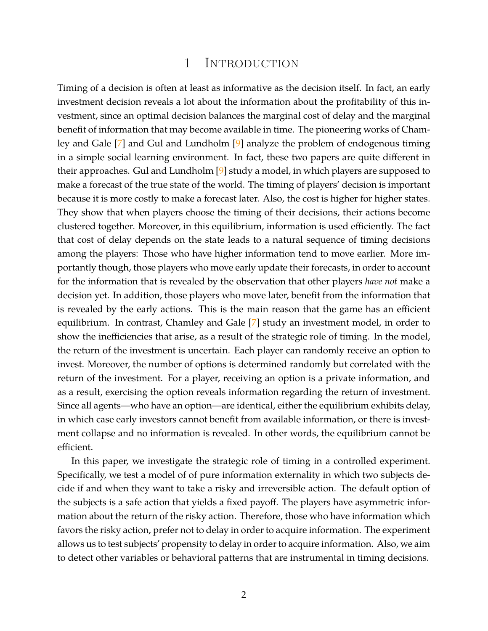## 1 Introduction

Timing of a decision is often at least as informative as the decision itself. In fact, an early investment decision reveals a lot about the information about the profitability of this investment, since an optimal decision balances the marginal cost of delay and the marginal benefit of information that may become available in time. The pioneering works of Chamley and Gale [\[7\]](#page-15-0) and Gul and Lundholm [\[9\]](#page-15-1) analyze the problem of endogenous timing in a simple social learning environment. In fact, these two papers are quite different in their approaches. Gul and Lundholm [\[9\]](#page-15-1) study a model, in which players are supposed to make a forecast of the true state of the world. The timing of players' decision is important because it is more costly to make a forecast later. Also, the cost is higher for higher states. They show that when players choose the timing of their decisions, their actions become clustered together. Moreover, in this equilibrium, information is used efficiently. The fact that cost of delay depends on the state leads to a natural sequence of timing decisions among the players: Those who have higher information tend to move earlier. More importantly though, those players who move early update their forecasts, in order to account for the information that is revealed by the observation that other players *have not* make a decision yet. In addition, those players who move later, benefit from the information that is revealed by the early actions. This is the main reason that the game has an efficient equilibrium. In contrast, Chamley and Gale [\[7\]](#page-15-0) study an investment model, in order to show the inefficiencies that arise, as a result of the strategic role of timing. In the model, the return of the investment is uncertain. Each player can randomly receive an option to invest. Moreover, the number of options is determined randomly but correlated with the return of the investment. For a player, receiving an option is a private information, and as a result, exercising the option reveals information regarding the return of investment. Since all agents—who have an option—are identical, either the equilibrium exhibits delay, in which case early investors cannot benefit from available information, or there is investment collapse and no information is revealed. In other words, the equilibrium cannot be efficient.

In this paper, we investigate the strategic role of timing in a controlled experiment. Specifically, we test a model of of pure information externality in which two subjects decide if and when they want to take a risky and irreversible action. The default option of the subjects is a safe action that yields a fixed payoff. The players have asymmetric information about the return of the risky action. Therefore, those who have information which favors the risky action, prefer not to delay in order to acquire information. The experiment allows us to test subjects' propensity to delay in order to acquire information. Also, we aim to detect other variables or behavioral patterns that are instrumental in timing decisions.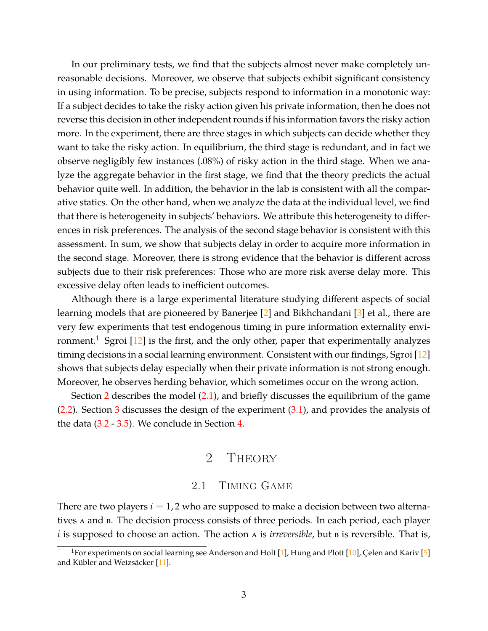In our preliminary tests, we find that the subjects almost never make completely unreasonable decisions. Moreover, we observe that subjects exhibit significant consistency in using information. To be precise, subjects respond to information in a monotonic way: If a subject decides to take the risky action given his private information, then he does not reverse this decision in other independent rounds if his information favors the risky action more. In the experiment, there are three stages in which subjects can decide whether they want to take the risky action. In equilibrium, the third stage is redundant, and in fact we observe negligibly few instances (.08%) of risky action in the third stage. When we analyze the aggregate behavior in the first stage, we find that the theory predicts the actual behavior quite well. In addition, the behavior in the lab is consistent with all the comparative statics. On the other hand, when we analyze the data at the individual level, we find that there is heterogeneity in subjects' behaviors. We attribute this heterogeneity to differences in risk preferences. The analysis of the second stage behavior is consistent with this assessment. In sum, we show that subjects delay in order to acquire more information in the second stage. Moreover, there is strong evidence that the behavior is different across subjects due to their risk preferences: Those who are more risk averse delay more. This excessive delay often leads to inefficient outcomes.

Although there is a large experimental literature studying different aspects of social learning models that are pioneered by Banerjee [\[2\]](#page-15-2) and Bikhchandani [\[3\]](#page-15-3) et al., there are very few experiments that test endogenous timing in pure information externality environment.<sup>1</sup> Sgroi  $[12]$  is the first, and the only other, paper that experimentally analyzes timing decisions in a social learning environment. Consistent with our findings, Sgroi [\[12\]](#page-15-4) shows that subjects delay especially when their private information is not strong enough. Moreover, he observes herding behavior, which sometimes occur on the wrong action.

<span id="page-2-0"></span>Section [2](#page-2-0) describes the model [\(2.1\)](#page-2-1), and briefly discusses the equilibrium of the game [\(2.2\)](#page-3-0). Section [3](#page-4-0) discusses the design of the experiment [\(3.1\)](#page-4-1), and provides the analysis of the data  $(3.2 - 3.5)$  $(3.2 - 3.5)$ . We conclude in Section [4.](#page-14-0)

# 2 Theory

### 2.1 Timing Game

<span id="page-2-1"></span>There are two players  $i = 1, 2$  who are supposed to make a decision between two alternatives a and b. The decision process consists of three periods. In each period, each player *i* is supposed to choose an action. The action A is *irreversible*, but B is reversible. That is,

 $^1$ For experiments on social learning see Anderson and Holt [\[1\]](#page-15-5), Hung and Plott [\[10\]](#page-15-6), Çelen and Kariv [\[5\]](#page-15-7) and Kübler and Weizsäcker [\[11\]](#page-15-8).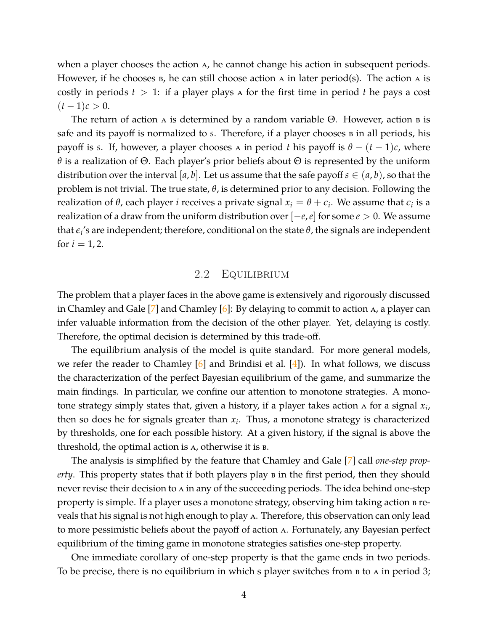when a player chooses the action a, he cannot change his action in subsequent periods. However, if he chooses  $B$ , he can still choose action  $A$  in later period(s). The action  $A$  is costly in periods  $t > 1$ : if a player plays a for the first time in period  $t$  he pays a cost  $(t-1)c > 0.$ 

The return of action a is determined by a random variable Θ. However, action b is safe and its payoff is normalized to *s*. Therefore, if a player chooses b in all periods, his payoff is *s*. If, however, a player chooses a in period *t* his payoff is  $\theta - (t - 1)c$ , where *θ* is a realization of Θ. Each player's prior beliefs about Θ is represented by the uniform distribution over the interval [ $a$ ,  $b$ ]. Let us assume that the safe payoff  $s \in (a, b)$ , so that the problem is not trivial. The true state, *θ*, is determined prior to any decision. Following the realization of θ, each player *i* receives a private signal  $x_i = θ + ε_i$ . We assume that  $ε_i$  is a realization of a draw from the uniform distribution over [−*e*,*e*] for some *<sup>e</sup>* <sup>&</sup>gt; <sup>0</sup>. We assume that *ǫ<sup>i</sup>* 's are independent; therefore, conditional on the state *θ*, the signals are independent for  $i = 1, 2$ .

### 2.2 Equilibrium

<span id="page-3-0"></span>The problem that a player faces in the above game is extensively and rigorously discussed in Chamley and Gale [\[7\]](#page-15-0) and Chamley [\[6\]](#page-15-9): By delaying to commit to action  $\mathbf{A}$ , a player can infer valuable information from the decision of the other player. Yet, delaying is costly. Therefore, the optimal decision is determined by this trade-off.

The equilibrium analysis of the model is quite standard. For more general models, we refer the reader to Chamley  $[6]$  and Brindisi et al.  $[4]$ ). In what follows, we discuss the characterization of the perfect Bayesian equilibrium of the game, and summarize the main findings. In particular, we confine our attention to monotone strategies. A monotone strategy simply states that, given a history, if a player takes action a for a signal *x<sup>i</sup>* , then so does he for signals greater than *x<sup>i</sup>* . Thus, a monotone strategy is characterized by thresholds, one for each possible history. At a given history, if the signal is above the threshold, the optimal action is a, otherwise it is b.

The analysis is simplified by the feature that Chamley and Gale [\[7\]](#page-15-0) call *one-step property*. This property states that if both players play b in the first period, then they should never revise their decision to a in any of the succeeding periods. The idea behind one-step property is simple. If a player uses a monotone strategy, observing him taking action b reveals that his signal is not high enough to play a. Therefore, this observation can only lead to more pessimistic beliefs about the payoff of action a. Fortunately, any Bayesian perfect equilibrium of the timing game in monotone strategies satisfies one-step property.

One immediate corollary of one-step property is that the game ends in two periods. To be precise, there is no equilibrium in which s player switches from  $\alpha$  to A in period 3;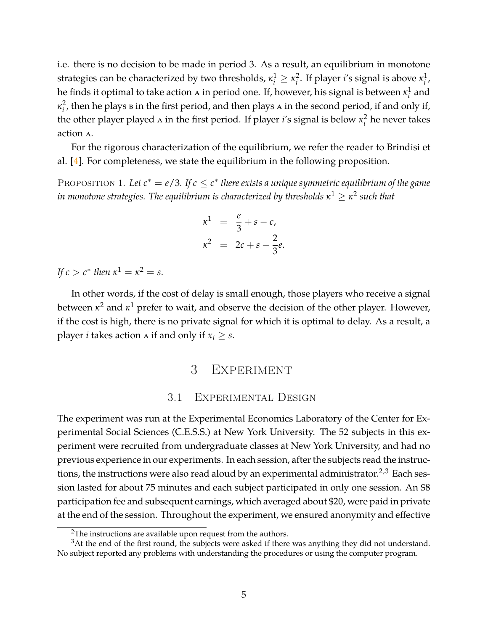i.e. there is no decision to be made in period 3. As a result, an equilibrium in monotone strategies can be characterized by two thresholds,  $\kappa_i^1 \geq \kappa_i^2$  $\frac{2}{i}$ . If player *i*'s signal is above  $\kappa_i^1$ *i* , he finds it optimal to take action a in period one. If, however, his signal is between *κ* 1  $i<sup>1</sup>$  and *κ* 2  $\frac{2}{i}$ , then he plays  $\bf{B}$  in the first period, and then plays  $\bf{A}$  in the second period, if and only if, the other player played A in the first period. If player *i*'s signal is below *κ*<sup>2</sup>  $\frac{2}{i}$  he never takes action a.

For the rigorous characterization of the equilibrium, we refer the reader to Brindisi et al. [\[4\]](#page-15-10). For completeness, we state the equilibrium in the following proposition.

PROPOSITION 1. Let  $c^* = e/3$ . If  $c \leq c^*$  there exists a unique symmetric equilibrium of the game  $i$ *n monotone strategies. The equilibrium is characterized by thresholds*  $\kappa^1 \geq \kappa^2$  *such that* 

$$
\begin{aligned}\n\kappa^1 &= \frac{e}{3} + s - c, \\
\kappa^2 &= 2c + s - \frac{2}{3}e.\n\end{aligned}
$$

*If*  $c > c^*$  then  $\kappa^1 = \kappa^2 = s$ *.* 

<span id="page-4-0"></span>In other words, if the cost of delay is small enough, those players who receive a signal between *κ* <sup>2</sup> and *κ* <sup>1</sup> prefer to wait, and observe the decision of the other player. However, if the cost is high, there is no private signal for which it is optimal to delay. As a result, a player *i* takes action A if and only if  $x_i \geq s$ .

## 3 Experiment

### 3.1 Experimental Design

<span id="page-4-1"></span>The experiment was run at the Experimental Economics Laboratory of the Center for Experimental Social Sciences (C.E.S.S.) at New York University. The 52 subjects in this experiment were recruited from undergraduate classes at New York University, and had no previous experience in our experiments. In each session, after the subjects read the instructions, the instructions were also read aloud by an experimental administrator.<sup>2,3</sup> Each session lasted for about 75 minutes and each subject participated in only one session. An \$8 participation fee and subsequent earnings, which averaged about \$20, were paid in private at the end of the session. Throughout the experiment, we ensured anonymity and effective

<sup>&</sup>lt;sup>2</sup>The instructions are available upon request from the authors.

 $3$ At the end of the first round, the subjects were asked if there was anything they did not understand. No subject reported any problems with understanding the procedures or using the computer program.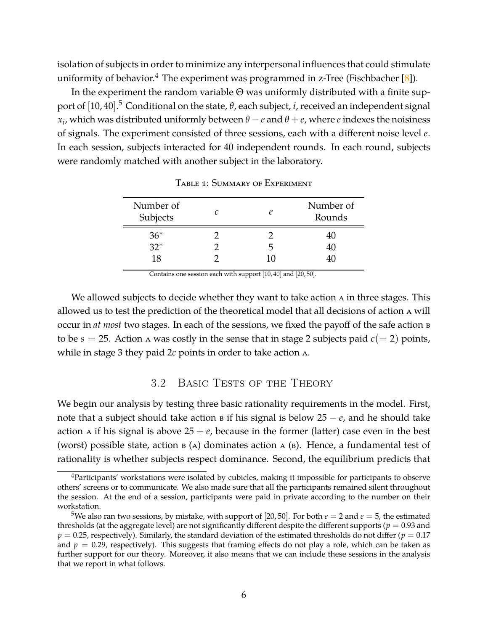isolation of subjects in order to minimize any interpersonal influences that could stimulate uniformity of behavior.<sup>4</sup> The experiment was programmed in z-Tree (Fischbacher  $[8]$ ).

In the experiment the random variable Θ was uniformly distributed with a finite support of [10, 40]. <sup>5</sup> Conditional on the state, *θ*, each subject, *i*, received an independent signal  $x_i$ , which was distributed uniformly between  $\theta - e$  and  $\theta + e$ , where  $e$  indexes the noisiness of signals. The experiment consisted of three sessions, each with a different noise level *e*. In each session, subjects interacted for 40 independent rounds. In each round, subjects were randomly matched with another subject in the laboratory.

| Number of<br>Subjects | e  | Number of<br>Rounds |
|-----------------------|----|---------------------|
| $36*$                 |    | 40                  |
| $\frac{1}{32}$        | .5 | 40                  |
| 18                    | 10 |                     |

Table 1: Summary of Experiment

Contains one session each with support [10, 40] and [20, 50].

We allowed subjects to decide whether they want to take action a in three stages. This allowed us to test the prediction of the theoretical model that all decisions of action a will occur in *at most* two stages. In each of the sessions, we fixed the payoff of the safe action b to be  $s = 25$ . Action a was costly in the sense that in stage 2 subjects paid  $c(= 2)$  points, while in stage 3 they paid 2*c* points in order to take action a.

## 3.2 BASIC TESTS OF THE THEORY

<span id="page-5-0"></span>We begin our analysis by testing three basic rationality requirements in the model. First, note that a subject should take action b if his signal is below 25 − *e*, and he should take action A if his signal is above  $25 + e$ , because in the former (latter) case even in the best (worst) possible state, action  $B(A)$  dominates action  $A(B)$ . Hence, a fundamental test of rationality is whether subjects respect dominance. Second, the equilibrium predicts that

<sup>4</sup>Participants' workstations were isolated by cubicles, making it impossible for participants to observe others' screens or to communicate. We also made sure that all the participants remained silent throughout the session. At the end of a session, participants were paid in private according to the number on their workstation.

<sup>&</sup>lt;sup>5</sup>We also ran two sessions, by mistake, with support of [20, 50]. For both  $e = 2$  and  $e = 5$ , the estimated thresholds (at the aggregate level) are not significantly different despite the different supports ( $p = 0.93$  and  $p = 0.25$ , respectively). Similarly, the standard deviation of the estimated thresholds do not differ ( $p = 0.17$ ) and  $p = 0.29$ , respectively). This suggests that framing effects do not play a role, which can be taken as further support for our theory. Moreover, it also means that we can include these sessions in the analysis that we report in what follows.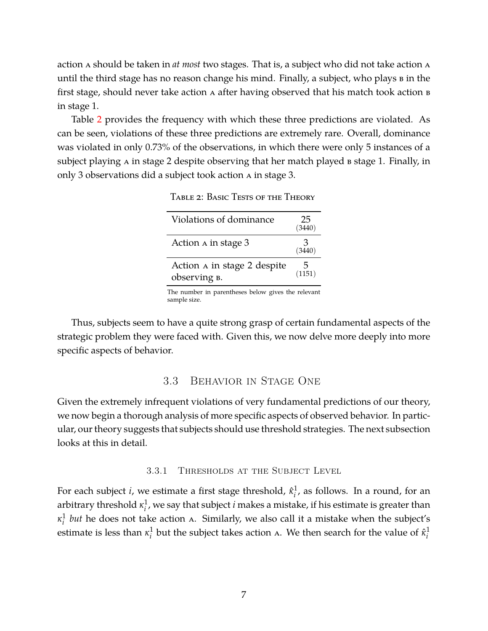action a should be taken in *at most* two stages. That is, a subject who did not take action a until the third stage has no reason change his mind. Finally, a subject, who plays b in the first stage, should never take action a after having observed that his match took action b in stage 1.

<span id="page-6-0"></span>Table [2](#page-6-0) provides the frequency with which these three predictions are violated. As can be seen, violations of these three predictions are extremely rare. Overall, dominance was violated in only 0.73% of the observations, in which there were only 5 instances of a subject playing A in stage 2 despite observing that her match played B stage 1. Finally, in only 3 observations did a subject took action a in stage 3.

| Violations of dominance                     | 25<br>(3440) |
|---------------------------------------------|--------------|
| Action A in stage 3                         | З<br>(3440)  |
| Action A in stage 2 despite<br>observing B. | .b<br>(1151) |

TABLE 2: BASIC TESTS OF THE THEORY

The number in parentheses below gives the relevant sample size.

Thus, subjects seem to have a quite strong grasp of certain fundamental aspects of the strategic problem they were faced with. Given this, we now delve more deeply into more specific aspects of behavior.

## 3.3 Behavior in Stage One

Given the extremely infrequent violations of very fundamental predictions of our theory, we now begin a thorough analysis of more specific aspects of observed behavior. In particular, our theory suggests that subjects should use threshold strategies. The next subsection looks at this in detail.

### 3.3.1 Thresholds at the Subject Level

For each subject *i*, we estimate a first stage threshold,  $\hat{\kappa}^1_i$  $i<sub>i</sub>$ , as follows. In a round, for an arbitrary threshold *κ* 1 *i* , we say that subject *i* makes a mistake, if his estimate is greater than *κ* 1  $\frac{1}{i}$  *but* he does not take action A. Similarly, we also call it a mistake when the subject's estimate is less than *κ* 1  $\hat{h}_i^1$  but the subject takes action a. We then search for the value of  $\hat{\kappa}_i^1$ *i*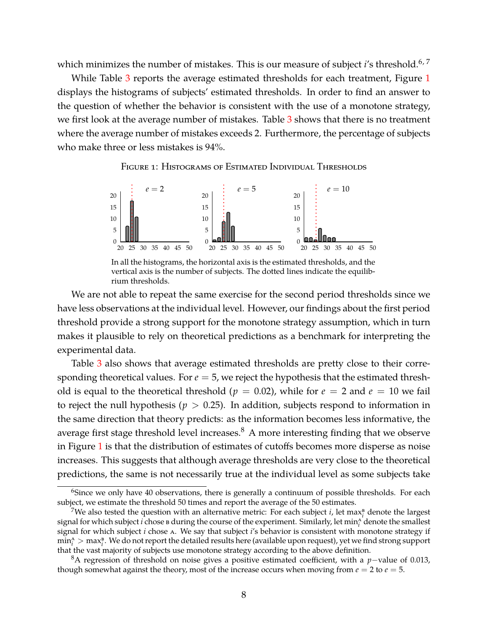which minimizes the number of mistakes. This is our measure of subject *i*'s threshold.<sup>6,7</sup>

While Table [3](#page-8-0) reports the average estimated thresholds for each treatment, Figure [1](#page-7-0) displays the histograms of subjects' estimated thresholds. In order to find an answer to the question of whether the behavior is consistent with the use of a monotone strategy, we first look at the average number of mistakes. Table [3](#page-8-0) shows that there is no treatment where the average number of mistakes exceeds 2. Furthermore, the percentage of subjects who make three or less mistakes is 94%.

Figure 1: Histograms of Estimated Individual Thresholds

<span id="page-7-0"></span>

In all the histograms, the horizontal axis is the estimated thresholds, and the vertical axis is the number of subjects. The dotted lines indicate the equilibrium thresholds.

We are not able to repeat the same exercise for the second period thresholds since we have less observations at the individual level. However, our findings about the first period threshold provide a strong support for the monotone strategy assumption, which in turn makes it plausible to rely on theoretical predictions as a benchmark for interpreting the experimental data.

Table [3](#page-8-0) also shows that average estimated thresholds are pretty close to their corresponding theoretical values. For  $e = 5$ , we reject the hypothesis that the estimated threshold is equal to the theoretical threshold ( $p = 0.02$ ), while for  $e = 2$  and  $e = 10$  we fail to reject the null hypothesis ( $p > 0.25$ ). In addition, subjects respond to information in the same direction that theory predicts: as the information becomes less informative, the average first stage threshold level increases. $8 \text{ A}$  more interesting finding that we observe in Figure [1](#page-7-0) is that the distribution of estimates of cutoffs becomes more disperse as noise increases. This suggests that although average thresholds are very close to the theoretical predictions, the same is not necessarily true at the individual level as some subjects take

 $6$ Since we only have 40 observations, there is generally a continuum of possible thresholds. For each subject, we estimate the threshold 50 times and report the average of the 50 estimates.

<sup>&</sup>lt;sup>7</sup>We also tested the question with an alternative metric: For each subject *i*, let max $_i^{\text{B}}$  denote the largest signal for which subject *i* chose **B** during the course of the experiment. Similarly, let  $min_i^A$  denote the smallest signal for which subject *i* chose a. We say that subject *i*'s behavior is consistent with monotone strategy if  $min_i^A > max_i^B$ . We do not report the detailed results here (available upon request), yet we find strong support that the vast majority of subjects use monotone strategy according to the above definition.

<sup>8</sup>A regression of threshold on noise gives a positive estimated coefficient, with a *<sup>p</sup>*−value of 0.013, though somewhat against the theory, most of the increase occurs when moving from  $e = 2$  to  $e = 5$ .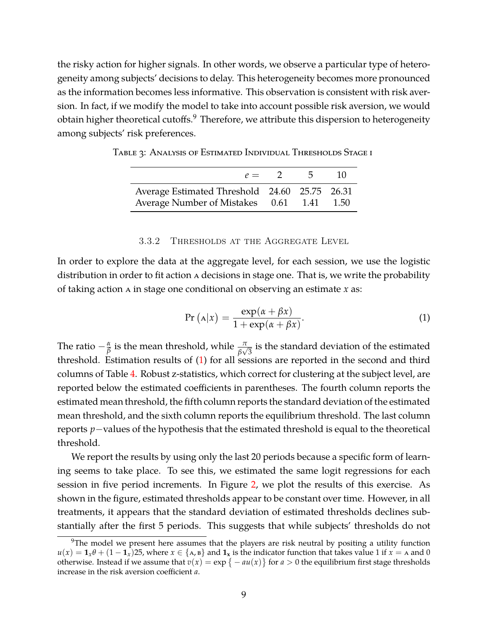the risky action for higher signals. In other words, we observe a particular type of heterogeneity among subjects' decisions to delay. This heterogeneity becomes more pronounced as the information becomes less informative. This observation is consistent with risk aversion. In fact, if we modify the model to take into account possible risk aversion, we would obtain higher theoretical cutoffs.<sup>9</sup> Therefore, we attribute this dispersion to heterogeneity among subjects' risk preferences.

|                                               | $e = 2 5$ | $-1()$ |
|-----------------------------------------------|-----------|--------|
| Average Estimated Threshold 24.60 25.75 26.31 |           |        |
| Average Number of Mistakes 0.61 1.41 1.50     |           |        |

<span id="page-8-0"></span>Table 3: Analysis of Estimated Individual Thresholds Stage i

#### 3.3.2 Thresholds at the Aggregate Level

In order to explore the data at the aggregate level, for each session, we use the logistic distribution in order to fit action a decisions in stage one. That is, we write the probability of taking action a in stage one conditional on observing an estimate *x* as:

<span id="page-8-1"></span>
$$
Pr (A|x) = \frac{\exp(\alpha + \beta x)}{1 + \exp(\alpha + \beta x)}.
$$
\n(1)

The ratio  $-\frac{\alpha}{\beta}$  is the mean threshold, while  $\frac{\pi}{\beta\sqrt{3}}$  is the standard deviation of the estimated threshold. Estimation results of [\(1\)](#page-8-1) for all sessions are reported in the second and third columns of Table [4.](#page-9-0) Robust z-statistics, which correct for clustering at the subject level, are reported below the estimated coefficients in parentheses. The fourth column reports the estimated mean threshold, the fifth column reports the standard deviation of the estimated mean threshold, and the sixth column reports the equilibrium threshold. The last column reports *p*−values of the hypothesis that the estimated threshold is equal to the theoretical threshold.

We report the results by using only the last 20 periods because a specific form of learning seems to take place. To see this, we estimated the same logit regressions for each session in five period increments. In Figure [2,](#page-10-1) we plot the results of this exercise. As shown in the figure, estimated thresholds appear to be constant over time. However, in all treatments, it appears that the standard deviation of estimated thresholds declines substantially after the first 5 periods. This suggests that while subjects' thresholds do not

 $9$ The model we present here assumes that the players are risk neutral by positing a utility function  $u(x) = \mathbf{1}_x \theta + (1 - \mathbf{1}_x) 25$ , where  $x \in \{A, B\}$  and  $\mathbf{1}_x$  is the indicator function that takes value 1 if  $x = A$  and 0 otherwise. Instead if we assume that  $v(x) = \exp\{-au(x)\}$  for  $a > 0$  the equilibrium first stage thresholds increase in the risk aversion coefficient *a*.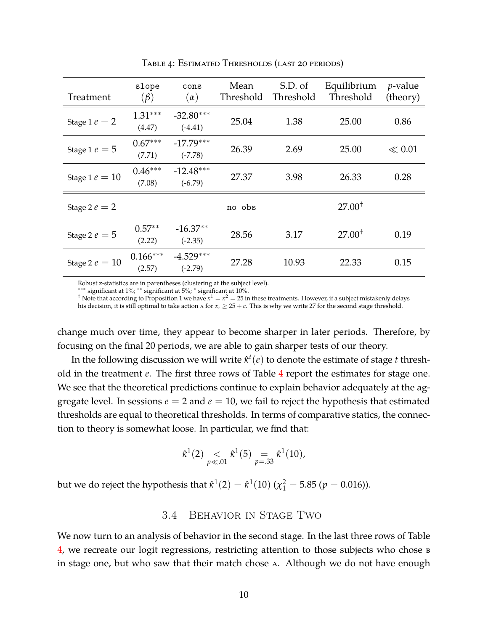<span id="page-9-0"></span>

| Treatment        | slope<br>$(\beta)$   | cons<br>$(\alpha)$       | Mean<br>Threshold | S.D. of<br>Threshold | Equilibrium<br>Threshold | $p$ -value<br>(theory) |
|------------------|----------------------|--------------------------|-------------------|----------------------|--------------------------|------------------------|
| Stage 1 $e = 2$  | $1.31***$<br>(4.47)  | $-32.80***$<br>$(-4.41)$ | 25.04             | 1.38                 | 25.00                    | 0.86                   |
| Stage 1 $e = 5$  | $0.67***$<br>(7.71)  | $-17.79***$<br>$(-7.78)$ | 26.39             | 2.69                 | 25.00                    | $\ll 0.01$             |
| Stage 1 $e = 10$ | $0.46***$<br>(7.08)  | $-12.48***$<br>$(-6.79)$ | 27.37             | 3.98                 | 26.33                    | 0.28                   |
| Stage 2 $e = 2$  |                      |                          | no obs            |                      | $27.00^+$                |                        |
| Stage 2 $e = 5$  | $0.57**$<br>(2.22)   | $-16.37**$<br>$(-2.35)$  | 28.56             | 3.17                 | $27.00^+$                | 0.19                   |
| Stage 2 $e = 10$ | $0.166***$<br>(2.57) | $-4.529***$<br>$(-2.79)$ | 27.28             | 10.93                | 22.33                    | 0.15                   |

Table 4: Estimated Thresholds (last 20 periods)

Robust z-statistics are in parentheses (clustering at the subject level).

∗∗∗ significant at 1%; ∗∗ significant at 5%; ∗ significant at 10%.

<sup>†</sup> Note that according to Proposition 1 we have  $\kappa^1=\kappa^2=$  25 in these treatments. However, if a subject mistakenly delays

his decision, it is still optimal to take action a for  $x_i \geq 25 + c$ . This is why we write 27 for the second stage threshold.

change much over time, they appear to become sharper in later periods. Therefore, by focusing on the final 20 periods, we are able to gain sharper tests of our theory.

In the following discussion we will write  $\hat{\kappa}^t(e)$  to denote the estimate of stage  $t$  threshold in the treatment *e*. The first three rows of Table [4](#page-9-0) report the estimates for stage one. We see that the theoretical predictions continue to explain behavior adequately at the aggregate level. In sessions  $e = 2$  and  $e = 10$ , we fail to reject the hypothesis that estimated thresholds are equal to theoretical thresholds. In terms of comparative statics, the connection to theory is somewhat loose. In particular, we find that:

$$
\hat{\kappa}^1(2) \underset{p \ll .01}{\leq} \hat{\kappa}^1(5) = \underset{p=.33}{\qquad} \hat{\kappa}^1(10),
$$

but we do reject the hypothesis that  $\hat{\kappa}^1(2) = \hat{\kappa}^1(10)$  ( $\chi_1^2 = 5.85$  ( $p = 0.016$ )).

### 3.4 Behavior in Stage Two

We now turn to an analysis of behavior in the second stage. In the last three rows of Table [4,](#page-9-0) we recreate our logit regressions, restricting attention to those subjects who chose b in stage one, but who saw that their match chose a. Although we do not have enough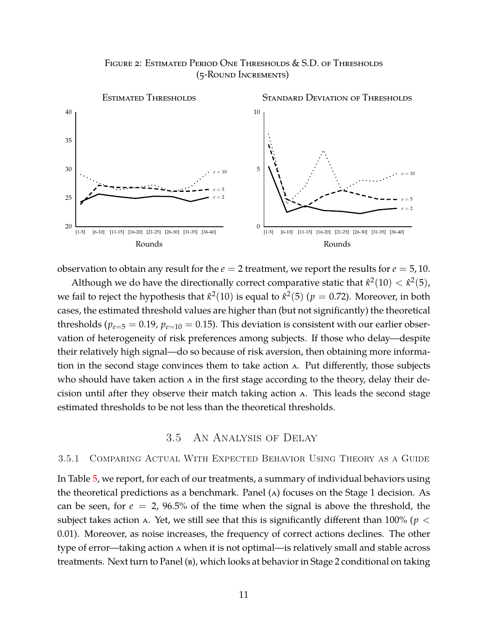<span id="page-10-1"></span>



observation to obtain any result for the *e* = 2 treatment, we report the results for *e* = 5, 10.

Although we do have the directionally correct comparative static that  $\hat{\kappa}^2(10) < \hat{\kappa}^2(5)$ , we fail to reject the hypothesis that  $\hat{\kappa}^2(10)$  is equal to  $\hat{\kappa}^2(5)$  ( $p=0.72$ ). Moreover, in both cases, the estimated threshold values are higher than (but not significantly) the theoretical thresholds ( $p_{e=5} = 0.19$ ,  $p_{e=10} = 0.15$ ). This deviation is consistent with our earlier observation of heterogeneity of risk preferences among subjects. If those who delay—despite their relatively high signal—do so because of risk aversion, then obtaining more information in the second stage convinces them to take action a. Put differently, those subjects who should have taken action a in the first stage according to the theory, delay their decision until after they observe their match taking action a. This leads the second stage estimated thresholds to be not less than the theoretical thresholds.

### 3.5 An Analysis of Delay

### <span id="page-10-0"></span>3.5.1 Comparing Actual With Expected Behavior Using Theory as a Guide

In Table [5,](#page-11-0) we report, for each of our treatments, a summary of individual behaviors using the theoretical predictions as a benchmark. Panel (a) focuses on the Stage 1 decision. As can be seen, for  $e = 2$ , 96.5% of the time when the signal is above the threshold, the subject takes action  $\alpha$ . Yet, we still see that this is significantly different than 100% ( $p <$ 0.01). Moreover, as noise increases, the frequency of correct actions declines. The other type of error—taking action a when it is not optimal—is relatively small and stable across treatments. Next turn to Panel (b), which looks at behavior in Stage 2 conditional on taking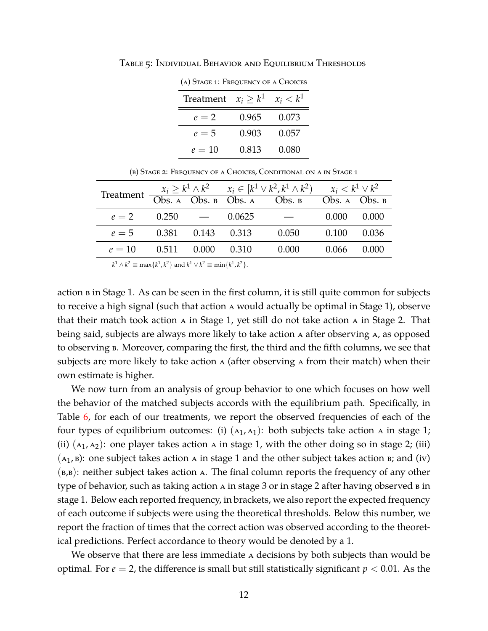| (A) STAGE 1: FREQUENCY OF A CHOICES |       |             |  |  |  |
|-------------------------------------|-------|-------------|--|--|--|
| Treatment $x_i \geq k^1$            |       | $x_i < k^1$ |  |  |  |
| $e=2$                               | 0.965 | 0.073       |  |  |  |
| $e=5$                               | 0.903 | 0.057       |  |  |  |
| $e=10$                              | 0.813 | 0.080       |  |  |  |

<span id="page-11-0"></span>Table 5: Individual Behavior and Equilibrium Thresholds

| (B) STAGE 2: FREQUENCY OF A CHOICES, CONDITIONAL ON A IN STAGE 1 |                                                  |  |  |  |
|------------------------------------------------------------------|--------------------------------------------------|--|--|--|
|                                                                  | $\sim$ $\sim$ $\sim$ $\sim$ $\sim$ $\sim$ $\sim$ |  |  |  |

|                        |  |  | Treatment $\frac{x_i \ge k^1 \wedge k^2}{\text{Obs. A}} \frac{x_i \in [k^1 \vee k^2, k^1 \wedge k^2)}{\text{Obs. A}} \frac{x_i < k^1 \vee k^2}{\text{Obs. A}}$ |                                                                                                                                                                                                                                      |                      |       |
|------------------------|--|--|----------------------------------------------------------------------------------------------------------------------------------------------------------------|--------------------------------------------------------------------------------------------------------------------------------------------------------------------------------------------------------------------------------------|----------------------|-------|
|                        |  |  |                                                                                                                                                                |                                                                                                                                                                                                                                      | Obs. A $Obs. B$      |       |
| $e = 2$ 0.250 - 0.0625 |  |  |                                                                                                                                                                | <u>and the state of the state of the state of the state of the state of the state of the state of the state of the state of the state of the state of the state of the state of the state of the state of the state of the state</u> | $0.000 \qquad 0.000$ |       |
|                        |  |  | $e = 5$ 0.381 0.143 0.313                                                                                                                                      | 0.050                                                                                                                                                                                                                                | $0.100$ 0.036        |       |
|                        |  |  |                                                                                                                                                                | $e = 10$ 0.511 0.000 0.310 0.000                                                                                                                                                                                                     | 0.066                | 0.000 |

 $k^1 \wedge k^2 \equiv \max\{k^1, k^2\}$  and  $k^1 \vee k^2 \equiv \min\{k^1, k^2\}.$ 

action  $B$  in Stage 1. As can be seen in the first column, it is still quite common for subjects to receive a high signal (such that action a would actually be optimal in Stage 1), observe that their match took action a in Stage 1, yet still do not take action a in Stage 2. That being said, subjects are always more likely to take action a after observing a, as opposed to observing b. Moreover, comparing the first, the third and the fifth columns, we see that subjects are more likely to take action a (after observing a from their match) when their own estimate is higher.

We now turn from an analysis of group behavior to one which focuses on how well the behavior of the matched subjects accords with the equilibrium path. Specifically, in Table [6,](#page-12-0) for each of our treatments, we report the observed frequencies of each of the four types of equilibrium outcomes: (i)  $(A_1, A_1)$ : both subjects take action A in stage 1; (ii)  $(A_1, A_2)$ : one player takes action A in stage 1, with the other doing so in stage 2; (iii)  $(A_1, B)$ : one subject takes action A in stage 1 and the other subject takes action  $B$ ; and (iv)  $(b,B)$ : neither subject takes action A. The final column reports the frequency of any other type of behavior, such as taking action a in stage 3 or in stage 2 after having observed b in stage 1. Below each reported frequency, in brackets, we also report the expected frequency of each outcome if subjects were using the theoretical thresholds. Below this number, we report the fraction of times that the correct action was observed according to the theoretical predictions. Perfect accordance to theory would be denoted by a 1.

We observe that there are less immediate a decisions by both subjects than would be optimal. For  $e = 2$ , the difference is small but still statistically significant  $p < 0.01$ . As the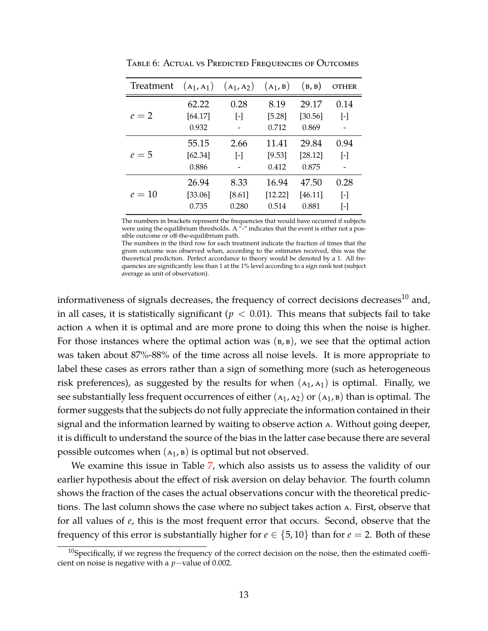| Treatment | $(A_1, A_1)$ | $(A_1, A_2)$      | $(A_1, B)$ | (B, B)  | <b>OTHER</b>      |
|-----------|--------------|-------------------|------------|---------|-------------------|
|           | 62.22        | 0.28              | 8.19       | 29.17   | 0.14              |
| $e=2$     | [64.17]      | I-l               | [5.28]     | [30.56] | $\lceil - \rceil$ |
|           | 0.932        |                   | 0.712      | 0.869   |                   |
|           | 55.15        | 2.66              | 11.41      | 29.84   | 0.94              |
| $e=5$     | [62.34]      | $\lceil - \rceil$ | [9.53]     | [28.12] | $\lceil - \rceil$ |
|           | 0.886        |                   | 0.412      | 0.875   |                   |
|           | 26.94        | 8.33              | 16.94      | 47.50   | 0.28              |
| $e=10$    | [33.06]      | $[8.61]$          | [12.22]    | [46.11] | $\lceil - \rceil$ |
|           | 0.735        | 0.280             | 0.514      | 0.881   | $\lceil - \rceil$ |

<span id="page-12-0"></span>TABLE 6: ACTUAL VS PREDICTED FREQUENCIES OF OUTCOMES

The numbers in brackets represent the frequencies that would have occurred if subjects were using the equilibrium thresholds. A "-" indicates that the event is either not a possible outcome or off-the-equilibrium path.

The numbers in the third row for each treatment indicate the fraction of times that the given outcome was observed when, according to the estimates received, this was the theoretical prediction. Perfect accordance to theory would be denoted by a 1. All frequencies are significantly less than 1 at the 1% level according to a sign rank test (subject average as unit of observation).

informativeness of signals decreases, the frequency of correct decisions decreases<sup>10</sup> and, in all cases, it is statistically significant ( $p < 0.01$ ). This means that subjects fail to take action a when it is optimal and are more prone to doing this when the noise is higher. For those instances where the optimal action was  $(B, B)$ , we see that the optimal action was taken about 87%-88% of the time across all noise levels. It is more appropriate to label these cases as errors rather than a sign of something more (such as heterogeneous risk preferences), as suggested by the results for when  $(A_1, A_1)$  is optimal. Finally, we see substantially less frequent occurrences of either  $(A_1, A_2)$  or  $(A_1, B)$  than is optimal. The former suggests that the subjects do not fully appreciate the information contained in their signal and the information learned by waiting to observe action a. Without going deeper, it is difficult to understand the source of the bias in the latter case because there are several possible outcomes when  $(A_1, B)$  is optimal but not observed.

We examine this issue in Table [7,](#page-13-0) which also assists us to assess the validity of our earlier hypothesis about the effect of risk aversion on delay behavior. The fourth column shows the fraction of the cases the actual observations concur with the theoretical predictions. The last column shows the case where no subject takes action a. First, observe that for all values of *e*, this is the most frequent error that occurs. Second, observe that the frequency of this error is substantially higher for  $e \in \{5, 10\}$  than for  $e = 2$ . Both of these

 $10$ Specifically, if we regress the frequency of the correct decision on the noise, then the estimated coefficient on noise is negative with a *p*−value of 0.002.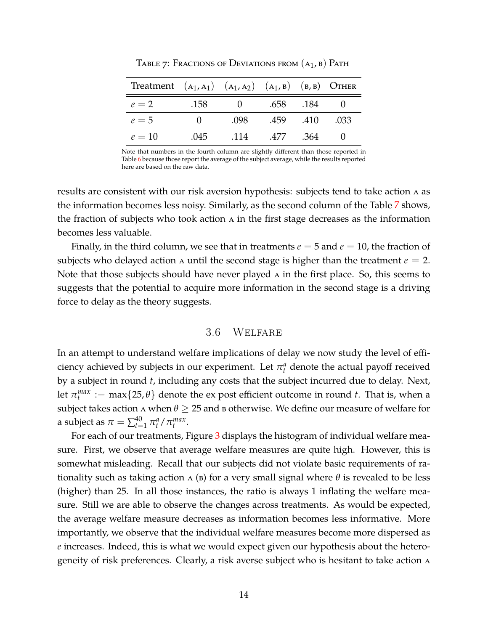<span id="page-13-0"></span>

| Treatment $(A_1, A_1)$ $(A_1, A_2)$ $(A_1, B)$ $(B, B)$ OTHER |      |      |           |      |      |
|---------------------------------------------------------------|------|------|-----------|------|------|
| $e=2$                                                         | .158 |      | .658      | .184 |      |
| $e=5$                                                         |      | .098 | .459 .410 |      | .033 |
| $e=10$                                                        | .045 | 114  | .477      | .364 |      |

Table 7: Fractions of Deviations from  $(a_1, b)$  Path

Note that numbers in the fourth column are slightly different than those reported in Table [6](#page-12-0) because those report the average of the subject average, while the results reported here are based on the raw data.

results are consistent with our risk aversion hypothesis: subjects tend to take action a as the information becomes less noisy. Similarly, as the second column of the Table [7](#page-13-0) shows, the fraction of subjects who took action a in the first stage decreases as the information becomes less valuable.

Finally, in the third column, we see that in treatments  $e = 5$  and  $e = 10$ , the fraction of subjects who delayed action a until the second stage is higher than the treatment  $e = 2$ . Note that those subjects should have never played a in the first place. So, this seems to suggests that the potential to acquire more information in the second stage is a driving force to delay as the theory suggests.

### 3.6 Welfare

In an attempt to understand welfare implications of delay we now study the level of efficiency achieved by subjects in our experiment. Let  $\pi_t^a$  denote the actual payoff received by a subject in round *t*, including any costs that the subject incurred due to delay. Next, let  $\pi_t^{max} := \max\{25, \theta\}$  denote the ex post efficient outcome in round *t*. That is, when a subject takes action  $A$  when  $\theta \geq 25$  and  $B$  otherwise. We define our measure of welfare for a subject as  $\pi = \sum_{t=1}^{40} \pi_t^a / \pi_t^{max}$ .

For each of our treatments, Figure [3](#page-14-1) displays the histogram of individual welfare measure. First, we observe that average welfare measures are quite high. However, this is somewhat misleading. Recall that our subjects did not violate basic requirements of rationality such as taking action  $\bf{A}$  ( $\bf{B}$ ) for a very small signal where *θ* is revealed to be less (higher) than 25. In all those instances, the ratio is always 1 inflating the welfare measure. Still we are able to observe the changes across treatments. As would be expected, the average welfare measure decreases as information becomes less informative. More importantly, we observe that the individual welfare measures become more dispersed as *e* increases. Indeed, this is what we would expect given our hypothesis about the heterogeneity of risk preferences. Clearly, a risk averse subject who is hesitant to take action a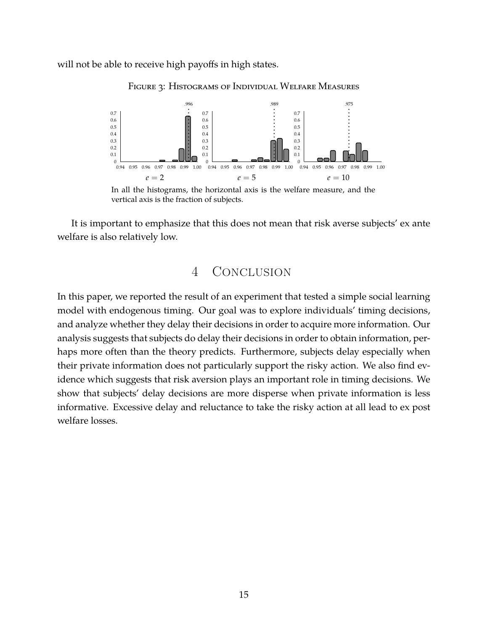<span id="page-14-1"></span>will not be able to receive high payoffs in high states.

![](_page_14_Figure_1.jpeg)

Figure 3: Histograms of Individual Welfare Measures

<span id="page-14-0"></span>It is important to emphasize that this does not mean that risk averse subjects' ex ante welfare is also relatively low.

## 4 CONCLUSION

In this paper, we reported the result of an experiment that tested a simple social learning model with endogenous timing. Our goal was to explore individuals' timing decisions, and analyze whether they delay their decisions in order to acquire more information. Our analysis suggests that subjects do delay their decisions in order to obtain information, perhaps more often than the theory predicts. Furthermore, subjects delay especially when their private information does not particularly support the risky action. We also find evidence which suggests that risk aversion plays an important role in timing decisions. We show that subjects' delay decisions are more disperse when private information is less informative. Excessive delay and reluctance to take the risky action at all lead to ex post welfare losses.

In all the histograms, the horizontal axis is the welfare measure, and the vertical axis is the fraction of subjects.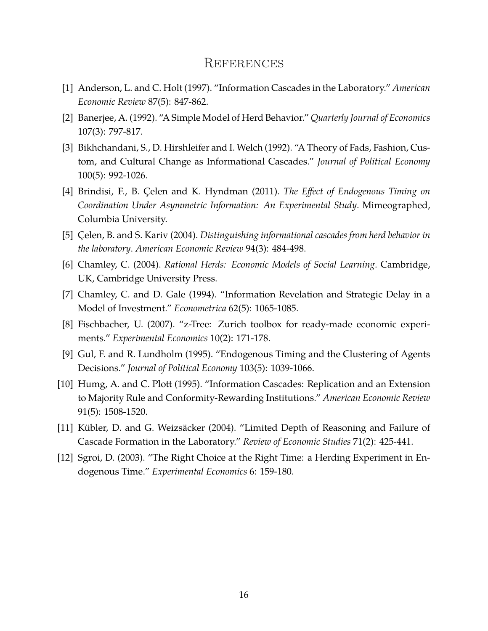## **REFERENCES**

- <span id="page-15-5"></span><span id="page-15-2"></span>[1] Anderson, L. and C. Holt (1997). "Information Cascades in the Laboratory." *American Economic Review* 87(5): 847-862.
- <span id="page-15-3"></span>[2] Banerjee, A. (1992). "A Simple Model of Herd Behavior." *Quarterly Journal of Economics* 107(3): 797-817.
- [3] Bikhchandani, S., D. Hirshleifer and I. Welch (1992). "A Theory of Fads, Fashion, Custom, and Cultural Change as Informational Cascades." *Journal of Political Economy* 100(5): 992-1026.
- <span id="page-15-10"></span>[4] Brindisi, F., B. Çelen and K. Hyndman (2011). *The Effect of Endogenous Timing on Coordination Under Asymmetric Information: An Experimental Study*. Mimeographed, Columbia University.
- <span id="page-15-9"></span><span id="page-15-7"></span>[5] Çelen, B. and S. Kariv (2004). *Distinguishing informational cascades from herd behavior in the laboratory*. *American Economic Review* 94(3): 484-498.
- <span id="page-15-0"></span>[6] Chamley, C. (2004). *Rational Herds: Economic Models of Social Learning*. Cambridge, UK, Cambridge University Press.
- <span id="page-15-11"></span>[7] Chamley, C. and D. Gale (1994). "Information Revelation and Strategic Delay in a Model of Investment." *Econometrica* 62(5): 1065-1085.
- <span id="page-15-1"></span>[8] Fischbacher, U. (2007). "z-Tree: Zurich toolbox for ready-made economic experiments." *Experimental Economics* 10(2): 171-178.
- <span id="page-15-6"></span>[9] Gul, F. and R. Lundholm (1995). "Endogenous Timing and the Clustering of Agents Decisions." *Journal of Political Economy* 103(5): 1039-1066.
- [10] Humg, A. and C. Plott (1995). "Information Cascades: Replication and an Extension to Majority Rule and Conformity-Rewarding Institutions." *American Economic Review* 91(5): 1508-1520.
- <span id="page-15-8"></span><span id="page-15-4"></span>[11] Kübler, D. and G. Weizsäcker (2004). "Limited Depth of Reasoning and Failure of Cascade Formation in the Laboratory." *Review of Economic Studies* 71(2): 425-441.
- [12] Sgroi, D. (2003). "The Right Choice at the Right Time: a Herding Experiment in Endogenous Time." *Experimental Economics* 6: 159-180.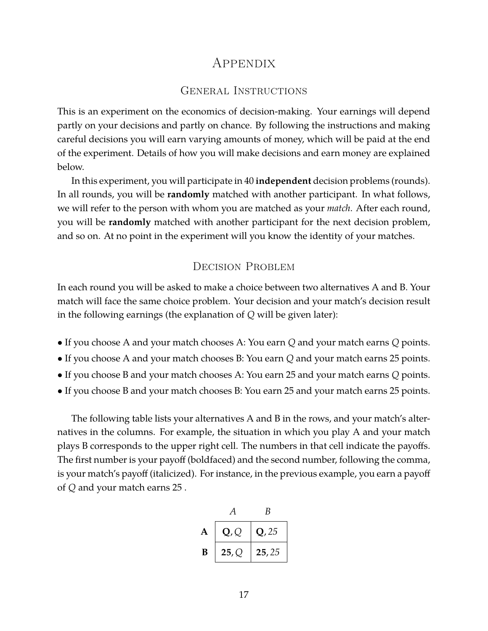# Appendix

## General Instructions

This is an experiment on the economics of decision-making. Your earnings will depend partly on your decisions and partly on chance. By following the instructions and making careful decisions you will earn varying amounts of money, which will be paid at the end of the experiment. Details of how you will make decisions and earn money are explained below.

In this experiment, you will participate in 40 **independent** decision problems (rounds). In all rounds, you will be **randomly** matched with another participant. In what follows, we will refer to the person with whom you are matched as your *match*. After each round, you will be **randomly** matched with another participant for the next decision problem, and so on. At no point in the experiment will you know the identity of your matches.

## Decision Problem

In each round you will be asked to make a choice between two alternatives A and B. Your match will face the same choice problem. Your decision and your match's decision result in the following earnings (the explanation of *Q* will be given later):

- If you choose A and your match chooses A: You earn *Q* and your match earns *Q* points.
- If you choose A and your match chooses B: You earn *Q* and your match earns 25 points.
- If you choose B and your match chooses A: You earn 25 and your match earns *Q* points.
- If you choose B and your match chooses B: You earn 25 and your match earns 25 points.

The following table lists your alternatives A and B in the rows, and your match's alternatives in the columns. For example, the situation in which you play A and your match plays B corresponds to the upper right cell. The numbers in that cell indicate the payoffs. The first number is your payoff (boldfaced) and the second number, following the comma, is your match's payoff (italicized). For instance, in the previous example, you earn a payoff of *Q* and your match earns 25 .

|   | А     | B        |
|---|-------|----------|
| A | Q,Q   | $Q$ , 25 |
| B | 25, Q | 25, 25   |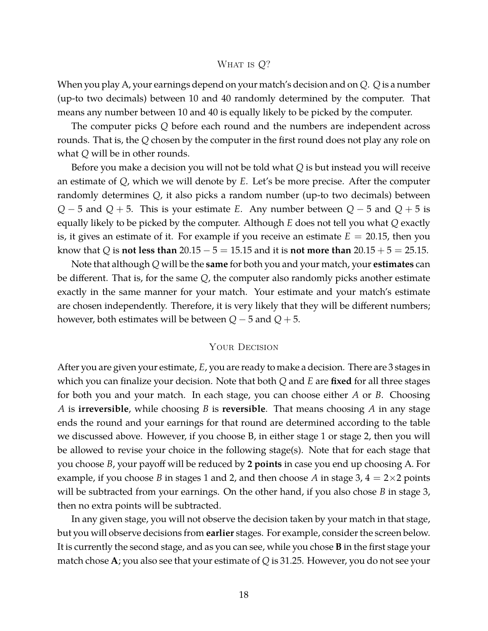#### WHAT IS Q?

When you play A, your earnings depend on your match's decision and on *Q*. *Q* is a number (up-to two decimals) between 10 and 40 randomly determined by the computer. That means any number between 10 and 40 is equally likely to be picked by the computer.

The computer picks *Q* before each round and the numbers are independent across rounds. That is, the *Q* chosen by the computer in the first round does not play any role on what *Q* will be in other rounds.

Before you make a decision you will not be told what *Q* is but instead you will receive an estimate of *Q*, which we will denote by *E*. Let's be more precise. After the computer randomly determines *Q*, it also picks a random number (up-to two decimals) between *Q* − 5 and *Q* + 5. This is your estimate *E*. Any number between *Q* − 5 and *Q* + 5 is equally likely to be picked by the computer. Although *E* does not tell you what *Q* exactly is, it gives an estimate of it. For example if you receive an estimate  $E = 20.15$ , then you know that *Q* is **not less than** 20.15 − 5 = 15.15 and it is **not more than** 20.15 + 5 = 25.15.

Note that although *Q* will be the **same** for both you and your match, your **estimates** can be different. That is, for the same *Q*, the computer also randomly picks another estimate exactly in the same manner for your match. Your estimate and your match's estimate are chosen independently. Therefore, it is very likely that they will be different numbers; however, both estimates will be between  $Q - 5$  and  $Q + 5$ .

#### YOUR DECISION

After you are given your estimate, *E*, you are ready to make a decision. There are 3 stages in which you can finalize your decision. Note that both *Q* and *E* are **fixed** for all three stages for both you and your match. In each stage, you can choose either *A* or *B*. Choosing *A* is **irreversible**, while choosing *B* is **reversible**. That means choosing *A* in any stage ends the round and your earnings for that round are determined according to the table we discussed above. However, if you choose B, in either stage 1 or stage 2, then you will be allowed to revise your choice in the following stage(s). Note that for each stage that you choose *B*, your payoff will be reduced by **2 points** in case you end up choosing A. For example, if you choose *B* in stages 1 and 2, and then choose *A* in stage 3,  $4 = 2 \times 2$  points will be subtracted from your earnings. On the other hand, if you also chose *B* in stage 3, then no extra points will be subtracted.

In any given stage, you will not observe the decision taken by your match in that stage, but you will observe decisions from **earlier** stages. For example, consider the screen below. It is currently the second stage, and as you can see, while you chose **B** in the first stage your match chose **A**; you also see that your estimate of *Q* is 31.25. However, you do not see your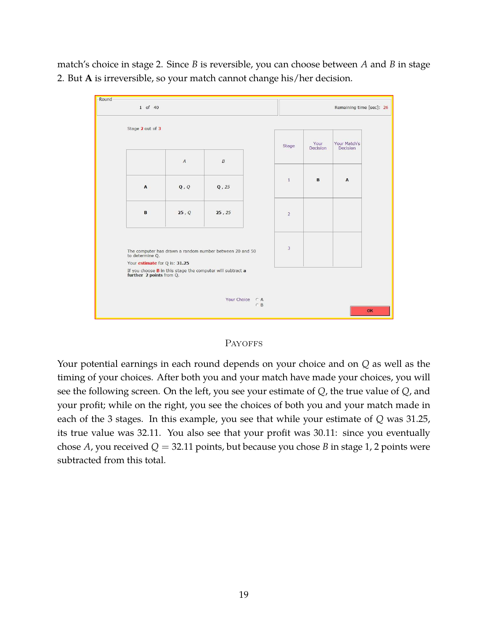match's choice in stage 2. Since *B* is reversible, you can choose between *A* and *B* in stage 2. But **A** is irreversible, so your match cannot change his/her decision.

![](_page_18_Figure_1.jpeg)

### **PAYOFFS**

Your potential earnings in each round depends on your choice and on *Q* as well as the timing of your choices. After both you and your match have made your choices, you will see the following screen. On the left, you see your estimate of *Q*, the true value of *Q*, and your profit; while on the right, you see the choices of both you and your match made in each of the 3 stages. In this example, you see that while your estimate of *Q* was 31.25, its true value was 32.11. You also see that your profit was 30.11: since you eventually chose *A*, you received  $Q = 32.11$  points, but because you chose *B* in stage 1, 2 points were subtracted from this total.